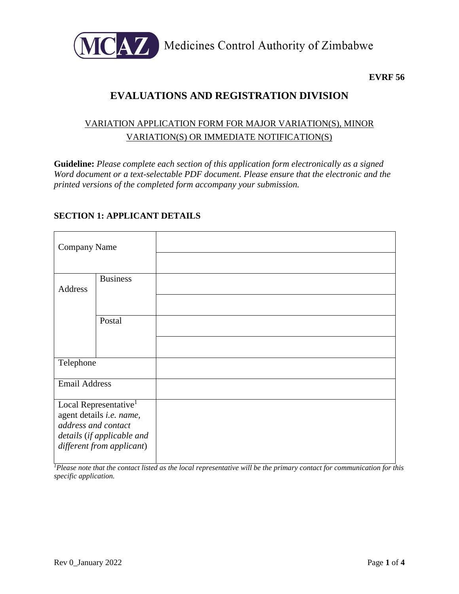

Medicines Control Authority of Zimbabwe

**EVRF 56**

# **EVALUATIONS AND REGISTRATION DIVISION**

## VARIATION APPLICATION FORM FOR MAJOR VARIATION(S), MINOR VARIATION(S) OR IMMEDIATE NOTIFICATION(S)

**Guideline:** *Please complete each section of this application form electronically as a signed Word document or a text-selectable PDF document. Please ensure that the electronic and the printed versions of the completed form accompany your submission.*

| Company Name                                                                                                                                            |                 |  |
|---------------------------------------------------------------------------------------------------------------------------------------------------------|-----------------|--|
|                                                                                                                                                         |                 |  |
| <b>Address</b>                                                                                                                                          | <b>Business</b> |  |
|                                                                                                                                                         |                 |  |
|                                                                                                                                                         | Postal          |  |
|                                                                                                                                                         |                 |  |
| Telephone                                                                                                                                               |                 |  |
| <b>Email Address</b>                                                                                                                                    |                 |  |
| Local Representative <sup>1</sup><br>agent details <i>i.e. name</i> ,<br>address and contact<br>details (if applicable and<br>different from applicant) |                 |  |

### **SECTION 1: APPLICANT DETAILS**

*<sup>1</sup>Please note that the contact listed as the local representative will be the primary contact for communication for this specific application.*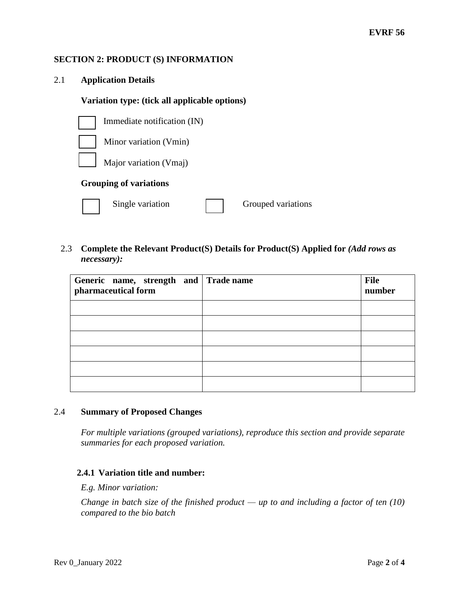#### **SECTION 2: PRODUCT (S) INFORMATION**

### 2.1 **Application Details**

#### **Variation type: (tick all applicable options)**



Single variation Grouped variations

2.3 **Complete the Relevant Product(S) Details for Product(S) Applied for** *(Add rows as necessary):*

| Generic name, strength and Trade name<br>pharmaceutical form | File<br>number |
|--------------------------------------------------------------|----------------|
|                                                              |                |
|                                                              |                |
|                                                              |                |
|                                                              |                |
|                                                              |                |
|                                                              |                |

#### 2.4 **Summary of Proposed Changes**

*For multiple variations (grouped variations), reproduce this section and provide separate summaries for each proposed variation.*

#### **2.4.1 Variation title and number:**

*E.g. Minor variation:* 

*Change in batch size of the finished product — up to and including a factor of ten (10) compared to the bio batch*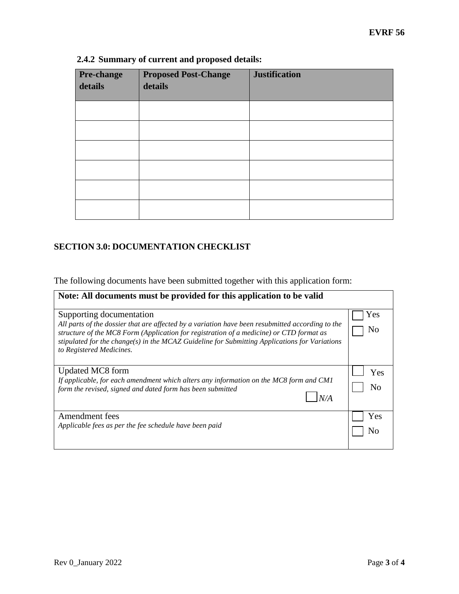| Pre-change<br>details | <b>Proposed Post-Change</b><br>details | <b>Justification</b> |
|-----------------------|----------------------------------------|----------------------|
|                       |                                        |                      |
|                       |                                        |                      |
|                       |                                        |                      |
|                       |                                        |                      |
|                       |                                        |                      |
|                       |                                        |                      |

# **2.4.2 Summary of current and proposed details:**

## **SECTION 3.0: DOCUMENTATION CHECKLIST**

The following documents have been submitted together with this application form:

| Note: All documents must be provided for this application to be valid                                                                                                                                                                                                                                                                                |           |  |  |
|------------------------------------------------------------------------------------------------------------------------------------------------------------------------------------------------------------------------------------------------------------------------------------------------------------------------------------------------------|-----------|--|--|
| Supporting documentation<br>All parts of the dossier that are affected by a variation have been resubmitted according to the<br>structure of the MC8 Form (Application for registration of a medicine) or CTD format as<br>stipulated for the change(s) in the MCAZ Guideline for Submitting Applications for Variations<br>to Registered Medicines. | Yes<br>No |  |  |
| Updated MC8 form<br>If applicable, for each amendment which alters any information on the MC8 form and CM1<br>form the revised, signed and dated form has been submitted                                                                                                                                                                             | Yes<br>Nο |  |  |
| Amendment fees<br>Applicable fees as per the fee schedule have been paid                                                                                                                                                                                                                                                                             | Yes       |  |  |